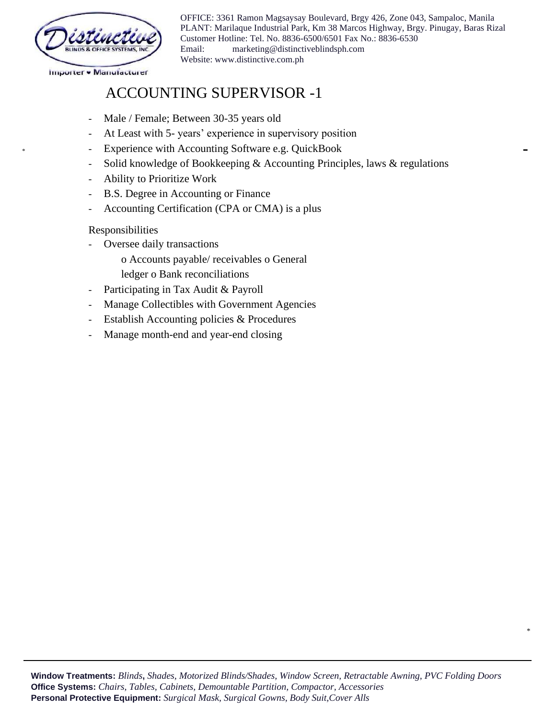

OFFICE: 3361 Ramon Magsaysay Boulevard, Brgy 426, Zone 043, Sampaloc, Manila PLANT: Marilaque Industrial Park, Km 38 Marcos Highway, Brgy. Pinugay, Baras Rizal Customer Hotline: Tel. No. 8836-6500/6501 Fax No.: 8836-6530 Email: marketing@distinctiveblindsph.com Website: www.distinctive.com.ph

**Importer • Manufacturer** 

\*

## ACCOUNTING SUPERVISOR -1

- Male / Female; Between 30-35 years old
- At Least with 5- years' experience in supervisory position
- Experience with Accounting Software e.g. QuickBook
- Solid knowledge of Bookkeeping & Accounting Principles, laws & regulations
- Ability to Prioritize Work
- B.S. Degree in Accounting or Finance
- Accounting Certification (CPA or CMA) is a plus

## Responsibilities

- Oversee daily transactions
	- o Accounts payable/ receivables o General ledger o Bank reconciliations
- Participating in Tax Audit & Payroll
- Manage Collectibles with Government Agencies
- Establish Accounting policies & Procedures
- Manage month-end and year-end closing

*\**

**-**